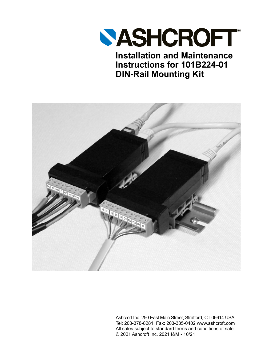

**Installation and Maintenance Instructions for 101B224-01 DIN-Rail Mounting Kit**



Ashcroft Inc. 250 East Main Street, Stratford, CT 06614 USA Tel: 203-378-8281, Fax: 203-385-0402 www.ashcroft.com All sales subject to standard terms and conditions of sale. © 2021 Ashcroft Inc. 2021 I&M - 10/21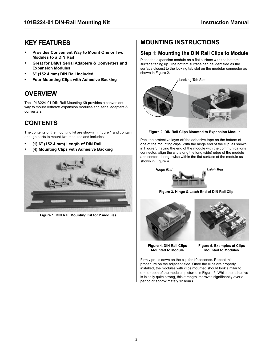### **KEY FEATURES**

- **• Provides Convenient Way to Mount One or Two Modules to a DIN Rail**
- **• Great for DM61 Serial Adapters & Converters and Expansion Modules**
- **• 6" (152.4 mm) DIN Rail Included**
- **• Four Mounting Clips with Adhesive Backing**

## **OVERVIEW**

The 101B224-01 DIN Rail Mounting Kit provides a convenient way to mount Ashcroft expansion modules and serial adapters & converters.

# **CONTENTS**

The contents of the mounting kit are shown in Figure 1 and contain enough parts to mount two modules and includes:

- **• (1) 6" (152.4 mm) Length of DIN Rail**
- **• (4) Mounting Clips with Adhesive Backing**



**Figure 1. DIN Rail Mounting Kit for 2 modules**

## **MOUNTING INSTRUCTIONS**

### **Step 1: Mounting the DIN Rail Clips to Module**

Place the expansion module on a flat surface with the bottom surface facing up. The bottom surface can be identified as the surface closest to the locking tab slot on the modular connector as shown in Figure 2.



**Figure 2. DIN Rail Clips Mounted to Expansion Module**

Peel the protective layer off the adhesive tape on the bottom of one of the mounting clips. With the hinge end of the clip, as shown in Figure 3, facing the end of the module with the communications connector, align the clip along the long (side) edge of the module and centered lengthwise within the flat surface of the module as shown in Figure 4.



**Figure 3. Hinge & Latch End of DIN Rail Clip**





**Figure 4. DIN Rail Clips Mounted to Module** 

**Figure 5. Examples of Clips Mounted to Modules**

Firmly press down on the clip for 10 seconds. Repeat this procedure on the adjacent side. Once the clips are properly installed, the modules with clips mounted should look similar to one or both of the modules pictured in Figure 5. While the adhesive is initially quite strong, this strength improves significantly over a period of approximately 12 hours.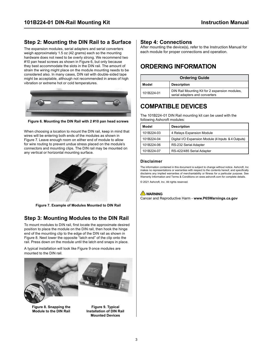### **Step 2: Mounting the DIN Rail to a Surface**

The expansion modules, serial adapters and serial converters weigh approximately 1.5 oz (42 grams) each so the mounting hardware does not need to be overly strong. We recommend two #10 pan head screws as shown in Figure 6, but only because they best accommodate the slots in the DIN rail. The amount of strain the wiring might place on the module mounting needs to be considered also. In many cases, DIN rail with double-sided tape might be acceptable, although not recommended in areas of high vibration or extreme hot or cold temperatures.



**Figure 6. Mounting the DIN Rail with 2 #10 pan head screws**

When choosing a location to mount the DIN rail, keep in mind that wires will be entering both ends of the modules as shown in Figure 7. Leave enough room on either end of module to allow for wire routing to prevent undue stress placed on the module's connectors and mounting clips. The DIN rail may be mounted on any vertical or horizontal mounting surface.



**Figure 7. Example of Modules Mounted to DIN Rail**

### **Step 3: Mounting Modules to the DIN Rail**

To mount modules to DIN rail, first locate the approximate desired position to place the module on the DIN rail, then hook the hinge end of the mounting clip to the edge of the DIN rail as shown in Figure 8. Next lower the opposite "latch end" of the clip onto the rail. Press down on the module until the latch end snaps in place.

A typical installation will look like Figure 9 once modules are mounted to the DIN rail.



**Figure 8. Snapping the Module to the DIN Rail**

**Figure 9. Typical Installation of DIN Rail Mounted Devices**

#### **Step 4: Connections**

After mounting the device(s), refer to the Instruction Manual for each module for proper connections and operation.

### **ORDERING INFORMATION**

| <b>Ordering Guide</b> |                                                                                  |
|-----------------------|----------------------------------------------------------------------------------|
| Model                 | <b>Description</b>                                                               |
| 101B224-01            | DIN Rail Mounting Kit for 2 expansion modules,<br>serial adapters and converters |

### **COMPATIBLE DEVICES**

The 101B224-01 DIN Rail mounting kit can be used with the following Ashcroft modules:

| Model      | <b>Description</b>                                  |
|------------|-----------------------------------------------------|
| 101B224-03 | 4 Relays Expansion Module                           |
| 101B224-04 | Digital I/O Expansion Module (4 Inputs & 4 Outputs) |
| 101B224-06 | RS-232 Serial Adapter                               |
| 101B224-07 | RS-422/485 Serial Adapter                           |

#### **Disclaimer**

The information contained in this document is subject to change without notice. Ashcroft, Inc makes no representations or warranties with respect to the contents hereof, and specifically disclaims any implied warranties of merchantability or fitness for a particular purpose. See Warranty Information and Terms & Conditions on www.ashcroft.com for complete details.

© 2021 Ashcroft, Inc. All rights reserved.

#### **WARNING**

Cancer and Reproductive Harm - **www.P65Warnings.ca.gov**